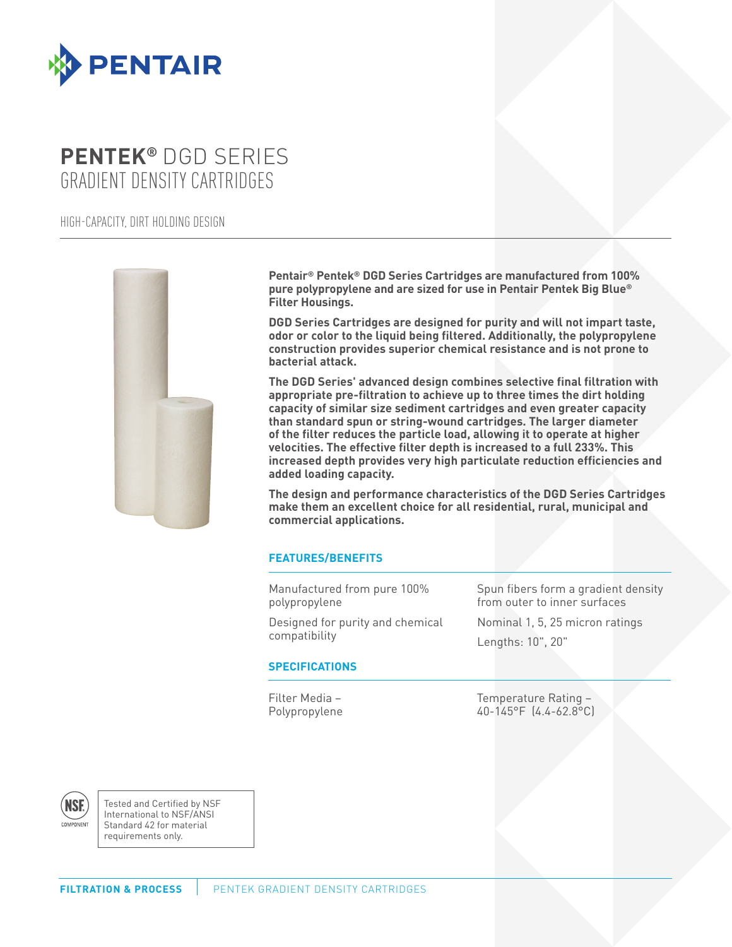

# **PENTEK®** DGD SERIES GRADIENT DENSITY CARTRIDGES

HIGH-CAPACITY, DIRT HOLDING DESIGN



**Pentair® Pentek® DGD Series Cartridges are manufactured from 100% pure polypropylene and are sized for use in Pentair Pentek Big Blue® Filter Housings.**

**DGD Series Cartridges are designed for purity and will not impart taste, odor or color to the liquid being filtered. Additionally, the polypropylene construction provides superior chemical resistance and is not prone to bacterial attack.**

**The DGD Series' advanced design combines selective final filtration with appropriate pre-filtration to achieve up to three times the dirt holding capacity of similar size sediment cartridges and even greater capacity than standard spun or string-wound cartridges. The larger diameter of the filter reduces the particle load, allowing it to operate at higher velocities. The effective filter depth is increased to a full 233%. This increased depth provides very high particulate reduction efficiencies and added loading capacity.**

**The design and performance characteristics of the DGD Series Cartridges make them an excellent choice for all residential, rural, municipal and commercial applications.**

## **FEATURES/BENEFITS**

Manufactured from pure 100% polypropylene

Designed for purity and chemical compatibility

Spun fibers form a gradient density from outer to inner surfaces

Nominal 1, 5, 25 micron ratings Lengths: 10", 20"

## **SPECIFICATIONS**

Filter Media – Polypropylene

Temperature Rating – 40-145°F (4.4-62.8°C)

**NSF** COMPONENT

Tested and Certified by NSF International to NSF/ANSI Standard 42 for material requirements only.